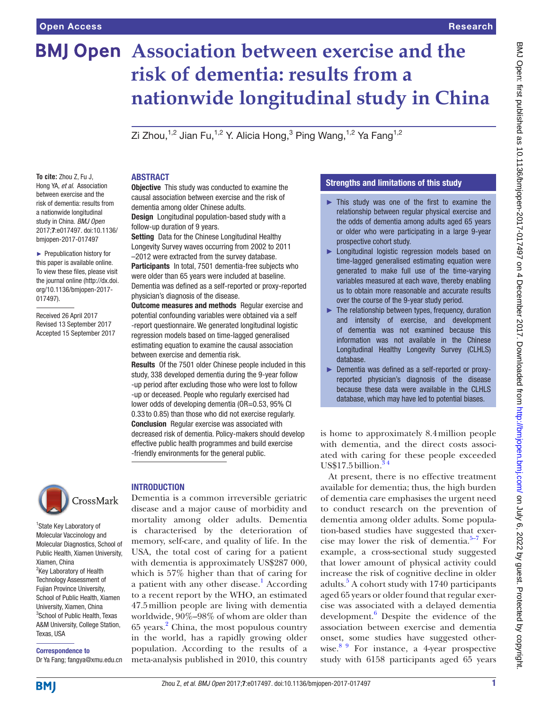# **BMJ Open** Association between exercise and the **risk of dementia: results from a nationwide longitudinal study in China**

Zi Zhou, $^{1,2}$  Jian Fu, $^{1,2}$  Y. Alicia Hong, $^3$  Ping Wang, $^{1,2}$  Ya Fang $^{1,2}$ 

**To cite:** Zhou Z, Fu J, Hong YA, *et al*. Association between exercise and the risk of dementia: results from a nationwide longitudinal study in China. *BMJ Open* 2017;7:e017497. doi:10.1136/ bmjopen-2017-017497

► Prepublication history for this paper is available online. To view these files, please visit the journal online [\(http://dx.doi.](http://dx.doi.org/10.1136/bmjopen-2017-017497) [org/10.1136/bmjopen-2017-](http://dx.doi.org/10.1136/bmjopen-2017-017497) [017497\)](http://dx.doi.org/10.1136/bmjopen-2017-017497).

Received 26 April 2017 Revised 13 September 2017 Accepted 15 September 2017



<sup>1</sup>State Key Laboratory of Molecular Vaccinology and Molecular Diagnostics, School of Public Health, Xiamen University, Xiamen, China <sup>2</sup>Key Laboratory of Health Technology Assessment of Fujian Province University, School of Public Health, Xiamen University, Xiamen, China 3 School of Public Health, Texas A&M University, College Station, Texas, USA

# Correspondence to

Dr Ya Fang; fangya@xmu.edu.cn

#### **ABSTRACT**

**Objective** This study was conducted to examine the causal association between exercise and the risk of dementia among older Chinese adults.

Design Longitudinal population-based study with a follow-up duration of 9 years.

Setting Data for the Chinese Longitudinal Healthy Longevity Survey waves occurring from 2002 to 2011 –2012 were extracted from the survey database.

Participants In total, 7501 dementia-free subjects who were older than 65 years were included at baseline. Dementia was defined as a self-reported or proxy-reported physician's diagnosis of the disease.

**Outcome measures and methods** Regular exercise and potential confounding variables were obtained via a self -report questionnaire. We generated longitudinal logistic regression models based on time-lagged generalised estimating equation to examine the causal association between exercise and dementia risk.

Results Of the 7501 older Chinese people included in this study, 338 developed dementia during the 9-year follow -up period after excluding those who were lost to follow -up or deceased. People who regularly exercised had lower odds of developing dementia (OR=0.53, 95% CI 0.33 to 0.85) than those who did not exercise regularly. Conclusion Regular exercise was associated with decreased risk of dementia. Policy-makers should develop effective public health programmes and build exercise -friendly environments for the general public.

## **INTRODUCTION**

Dementia is a common irreversible geriatric disease and a major cause of morbidity and mortality among older adults. Dementia is characterised by the deterioration of memory, self-care, and quality of life. In the USA, the total cost of caring for a patient with dementia is approximately US\$287 000, which is 57% higher than that of caring for a patient with any other disease.<sup>1</sup> According to a recent report by the WHO, an estimated 47.5million people are living with dementia worldwide, 90%–98% of whom are older than 65 years.<sup>[2](#page-5-1)</sup> China, the most populous country in the world, has a rapidly growing older population. According to the results of a meta-analysis published in 2010, this country

#### Strengths and limitations of this study

- ► This study was one of the first to examine the relationship between regular physical exercise and the odds of dementia among adults aged 65 years or older who were participating in a large 9-year prospective cohort study.
- ► Longitudinal logistic regression models based on time-lagged generalised estimating equation were generated to make full use of the time-varying variables measured at each wave, thereby enabling us to obtain more reasonable and accurate results over the course of the 9-year study period.
- ► The relationship between types, frequency, duration and intensity of exercise, and development of dementia was not examined because this information was not available in the Chinese Longitudinal Healthy Longevity Survey (CLHLS) database.
- ► Dementia was defined as a self-reported or proxyreported physician's diagnosis of the disease because these data were available in the CLHLS database, which may have led to potential biases.

is home to approximately 8.4million people with dementia, and the direct costs associated with caring for these people exceeded  $US$17.5$  billion.<sup>3</sup>

At present, there is no effective treatment available for dementia; thus, the high burden of dementia care emphasises the urgent need to conduct research on the prevention of dementia among older adults. Some population-based studies have suggested that exercise may lower the risk of dementia. $5-7$  For example, a cross-sectional study suggested that lower amount of physical activity could increase the risk of cognitive decline in older adults.<sup>[5](#page-5-3)</sup> A cohort study with 1740 participants aged 65 years or older found that regular exercise was associated with a delayed dementia development.<sup>[6](#page-5-4)</sup> Despite the evidence of the association between exercise and dementia onset, some studies have suggested otherwise.<sup>8 9</sup> For instance, a 4-year prospective study with 6158 participants aged 65 years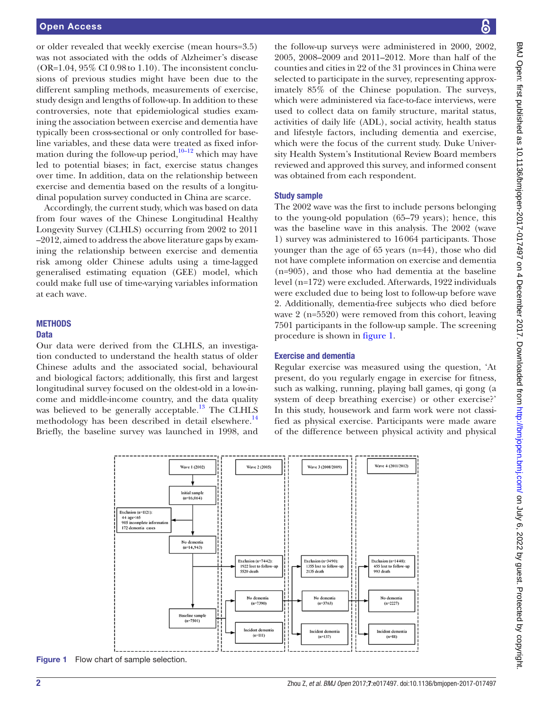or older revealed that weekly exercise (mean hours=3.5) was not associated with the odds of Alzheimer's disease  $(OR=1.04, 95\% \text{ CI } 0.98 \text{ to } 1.10)$ . The inconsistent conclusions of previous studies might have been due to the different sampling methods, measurements of exercise, study design and lengths of follow-up. In addition to these controversies, note that epidemiological studies examining the association between exercise and dementia have typically been cross-sectional or only controlled for baseline variables, and these data were treated as fixed information during the follow-up period, $10-12$  which may have led to potential biases; in fact, exercise status changes over time. In addition, data on the relationship between exercise and dementia based on the results of a longitudinal population survey conducted in China are scarce.

Accordingly, the current study, which was based on data from four waves of the Chinese Longitudinal Healthy Longevity Survey (CLHLS) occurring from 2002 to 2011 –2012, aimed to address the above literature gaps by examining the relationship between exercise and dementia risk among older Chinese adults using a time-lagged generalised estimating equation (GEE) model, which could make full use of time-varying variables information at each wave.

#### **METHODS Data**

Our data were derived from the CLHLS, an investigation conducted to understand the health status of older Chinese adults and the associated social, behavioural and biological factors; additionally, this first and largest longitudinal survey focused on the oldest-old in a low-income and middle-income country, and the data quality was believed to be generally acceptable.<sup>[13](#page-5-7)</sup> The CLHLS methodology has been described in detail elsewhere.<sup>[14](#page-5-8)</sup> Briefly, the baseline survey was launched in 1998, and

the follow-up surveys were administered in 2000, 2002, 2005, 2008–2009 and 2011–2012. More than half of the counties and cities in 22 of the 31 provinces in China were selected to participate in the survey, representing approximately 85% of the Chinese population. The surveys, which were administered via face-to-face interviews, were used to collect data on family structure, marital status, activities of daily life (ADL), social activity, health status and lifestyle factors, including dementia and exercise, which were the focus of the current study. Duke University Health System's Institutional Review Board members reviewed and approved this survey, and informed consent was obtained from each respondent.

#### Study sample

The 2002 wave was the first to include persons belonging to the young-old population (65–79 years); hence, this was the baseline wave in this analysis. The 2002 (wave 1) survey was administered to 16064 participants. Those younger than the age of 65 years (n=44), those who did not have complete information on exercise and dementia (n=905), and those who had dementia at the baseline level (n=172) were excluded. Afterwards, 1922 individuals were excluded due to being lost to follow-up before wave 2. Additionally, dementia-free subjects who died before wave 2 (n=5520) were removed from this cohort, leaving 7501 participants in the follow-up sample. The screening procedure is shown in [figure](#page-1-0) 1.

#### Exercise and dementia

Regular exercise was measured using the question, 'At present, do you regularly engage in exercise for fitness, such as walking, running, playing ball games, qi gong (a system of deep breathing exercise) or other exercise?' In this study, housework and farm work were not classified as physical exercise. Participants were made aware of the difference between physical activity and physical



<span id="page-1-0"></span>Figure 1 Flow chart of sample selection.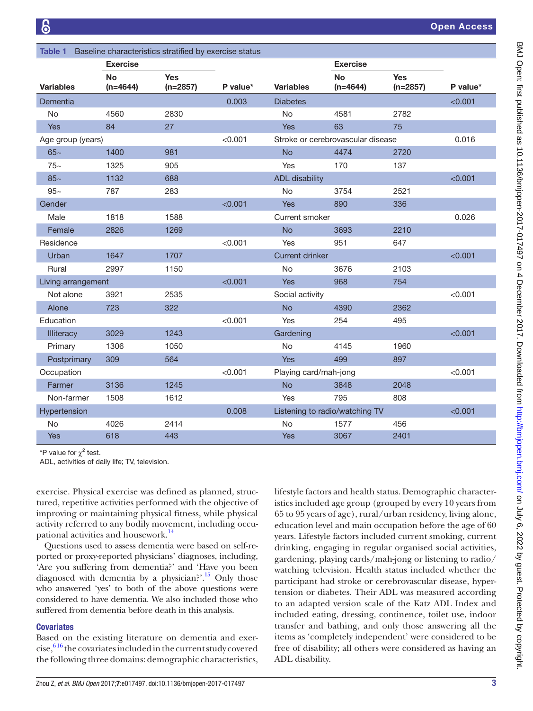<span id="page-2-0"></span>

| Baseline characteristics stratified by exercise status<br><b>Table 1</b> |                         |                          |          |                                   |                         |                          |          |  |  |  |  |
|--------------------------------------------------------------------------|-------------------------|--------------------------|----------|-----------------------------------|-------------------------|--------------------------|----------|--|--|--|--|
|                                                                          | <b>Exercise</b>         |                          |          |                                   | <b>Exercise</b>         |                          |          |  |  |  |  |
| <b>Variables</b>                                                         | <b>No</b><br>$(n=4644)$ | <b>Yes</b><br>$(n=2857)$ | P value* | <b>Variables</b>                  | <b>No</b><br>$(n=4644)$ | <b>Yes</b><br>$(n=2857)$ | P value* |  |  |  |  |
| Dementia                                                                 |                         |                          | 0.003    | <b>Diabetes</b>                   |                         |                          | < 0.001  |  |  |  |  |
| No                                                                       | 4560                    | 2830                     |          | No                                | 4581                    | 2782                     |          |  |  |  |  |
| <b>Yes</b>                                                               | 84                      | 27                       |          | Yes                               | 63                      | 75                       |          |  |  |  |  |
| Age group (years)                                                        |                         |                          | < 0.001  | Stroke or cerebrovascular disease |                         |                          | 0.016    |  |  |  |  |
| $65-$                                                                    | 1400                    | 981                      |          | <b>No</b>                         | 4474                    | 2720                     |          |  |  |  |  |
| $75-$                                                                    | 1325                    | 905                      |          | <b>Yes</b>                        | 170                     | 137                      |          |  |  |  |  |
| $85-$                                                                    | 1132                    | 688                      |          | <b>ADL</b> disability             |                         |                          | < 0.001  |  |  |  |  |
| $95-$                                                                    | 787                     | 283                      |          | <b>No</b>                         | 3754                    | 2521                     |          |  |  |  |  |
| Gender                                                                   |                         |                          | < 0.001  | <b>Yes</b>                        | 890                     | 336                      |          |  |  |  |  |
| Male                                                                     | 1818                    | 1588                     |          | Current smoker                    |                         |                          | 0.026    |  |  |  |  |
| Female                                                                   | 2826                    | 1269                     |          | <b>No</b>                         | 3693                    | 2210                     |          |  |  |  |  |
| Residence                                                                |                         |                          | < 0.001  | Yes                               | 951                     | 647                      |          |  |  |  |  |
| Urban                                                                    | 1647                    | 1707                     |          | <b>Current drinker</b>            |                         | < 0.001                  |          |  |  |  |  |
| Rural                                                                    | 2997                    | 1150                     |          | <b>No</b>                         | 3676                    | 2103                     |          |  |  |  |  |
| Living arrangement                                                       |                         |                          | < 0.001  | <b>Yes</b>                        | 968                     | 754                      |          |  |  |  |  |
| Not alone                                                                | 3921                    | 2535                     |          | Social activity                   |                         | < 0.001                  |          |  |  |  |  |
| Alone                                                                    | 723                     | 322                      |          | <b>No</b>                         | 4390                    | 2362                     |          |  |  |  |  |
| Education                                                                |                         |                          | < 0.001  | Yes                               | 254                     | 495                      |          |  |  |  |  |
| <b>Illiteracy</b>                                                        | 3029                    | 1243                     |          | Gardening                         |                         |                          | < 0.001  |  |  |  |  |
| Primary                                                                  | 1306                    | 1050                     |          | <b>No</b>                         | 4145                    | 1960                     |          |  |  |  |  |
| Postprimary                                                              | 309                     | 564                      |          | <b>Yes</b>                        | 499                     | 897                      |          |  |  |  |  |
| Occupation                                                               |                         |                          | < 0.001  | Playing card/mah-jong             |                         |                          | < 0.001  |  |  |  |  |
| Farmer                                                                   | 3136                    | 1245                     |          | <b>No</b>                         | 3848                    | 2048                     |          |  |  |  |  |
| Non-farmer                                                               | 1508                    | 1612                     |          | Yes                               | 795                     | 808                      |          |  |  |  |  |
| Hypertension                                                             |                         |                          | 0.008    | Listening to radio/watching TV    |                         | < 0.001                  |          |  |  |  |  |
| <b>No</b>                                                                | 4026                    | 2414                     |          | <b>No</b>                         | 1577                    | 456                      |          |  |  |  |  |
| <b>Yes</b>                                                               | 618                     | 443                      |          | <b>Yes</b>                        | 3067                    | 2401                     |          |  |  |  |  |

*\**P value for  $\chi^2$  test.

ADL, activities of daily life; TV, television.

exercise. Physical exercise was defined as planned, structured, repetitive activities performed with the objective of improving or maintaining physical fitness, while physical activity referred to any bodily movement, including occupational activities and housework.<sup>14</sup>

Questions used to assess dementia were based on self-reported or proxy-reported physicians' diagnoses, including, 'Are you suffering from dementia?' and 'Have you been diagnosed with dementia by a physician?'.<sup>[15](#page-5-9)</sup> Only those who answered 'yes' to both of the above questions were considered to have dementia. We also included those who suffered from dementia before death in this analysis.

#### **Covariates**

Based on the existing literature on dementia and exer- $\csc$ ,<sup>616</sup> the covariates included in the current study covered the following three domains: demographic characteristics,

lifestyle factors and health status. Demographic characteristics included age group (grouped by every 10 years from 65 to 95 years of age), rural/urban residency, living alone, education level and main occupation before the age of 60 years. Lifestyle factors included current smoking, current drinking, engaging in regular organised social activities, gardening, playing cards/mah-jong or listening to radio/ watching television. Health status included whether the participant had stroke or cerebrovascular disease, hypertension or diabetes. Their ADL was measured according to an adapted version scale of the Katz ADL Index and included eating, dressing, continence, toilet use, indoor transfer and bathing, and only those answering all the items as 'completely independent' were considered to be free of disability; all others were considered as having an ADL disability.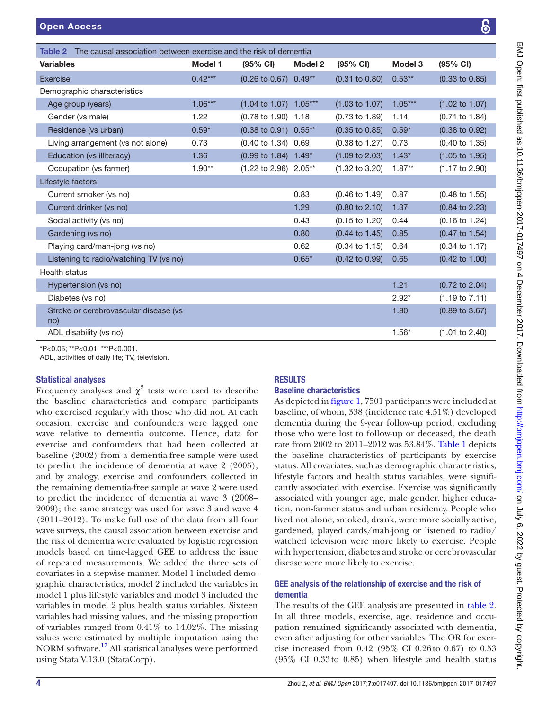| <b>Variables</b>                             | <b>Model 1</b> | $(95% \text{ Cl})$                | Model 2 | (95% CI)                  | Model 3   | $(95% \text{ Cl})$        |
|----------------------------------------------|----------------|-----------------------------------|---------|---------------------------|-----------|---------------------------|
| Exercise                                     | $0.42***$      | $(0.26 \text{ to } 0.67) 0.49**$  |         | $(0.31$ to $0.80)$        | $0.53***$ | $(0.33 \text{ to } 0.85)$ |
| Demographic characteristics                  |                |                                   |         |                           |           |                           |
| Age group (years)                            | $1.06***$      | $(1.04 \text{ to } 1.07)$ 1.05*** |         | $(1.03 \text{ to } 1.07)$ | $1.05***$ | $(1.02 \text{ to } 1.07)$ |
| Gender (vs male)                             | 1.22           | (0.78 to 1.90) 1.18               |         | $(0.73 \text{ to } 1.89)$ | 1.14      | $(0.71 \text{ to } 1.84)$ |
| Residence (vs urban)                         | $0.59*$        | $(0.38 \text{ to } 0.91) 0.55**$  |         | $(0.35 \text{ to } 0.85)$ | $0.59*$   | $(0.38 \text{ to } 0.92)$ |
| Living arrangement (vs not alone)            | 0.73           | (0.40 to 1.34) 0.69               |         | $(0.38 \text{ to } 1.27)$ | 0.73      | $(0.40 \text{ to } 1.35)$ |
| Education (vs illiteracy)                    | 1.36           | (0.99 to 1.84) 1.49*              |         | $(1.09 \text{ to } 2.03)$ | $1.43*$   | $(1.05 \text{ to } 1.95)$ |
| Occupation (vs farmer)                       | $1.90**$       | (1.22 to 2.96) 2.05**             |         | $(1.32 \text{ to } 3.20)$ | $1.87**$  | $(1.17 \text{ to } 2.90)$ |
| Lifestyle factors                            |                |                                   |         |                           |           |                           |
| Current smoker (vs no)                       |                |                                   | 0.83    | $(0.46 \text{ to } 1.49)$ | 0.87      | $(0.48 \text{ to } 1.55)$ |
| Current drinker (vs no)                      |                |                                   | 1.29    | $(0.80 \text{ to } 2.10)$ | 1.37      | $(0.84 \text{ to } 2.23)$ |
| Social activity (vs no)                      |                |                                   | 0.43    | $(0.15 \text{ to } 1.20)$ | 0.44      | (0.16 to 1.24)            |
| Gardening (vs no)                            |                |                                   | 0.80    | $(0.44 \text{ to } 1.45)$ | 0.85      | $(0.47 \text{ to } 1.54)$ |
| Playing card/mah-jong (vs no)                |                |                                   | 0.62    | $(0.34 \text{ to } 1.15)$ | 0.64      | $(0.34 \text{ to } 1.17)$ |
| Listening to radio/watching TV (vs no)       |                |                                   | $0.65*$ | $(0.42 \text{ to } 0.99)$ | 0.65      | $(0.42 \text{ to } 1.00)$ |
| <b>Health status</b>                         |                |                                   |         |                           |           |                           |
| Hypertension (vs no)                         |                |                                   |         |                           | 1.21      | $(0.72 \text{ to } 2.04)$ |
| Diabetes (vs no)                             |                |                                   |         |                           | $2.92*$   | $(1.19 \text{ to } 7.11)$ |
| Stroke or cerebrovascular disease (vs<br>no) |                |                                   |         |                           | 1.80      | (0.89 to 3.67)            |
| ADL disability (vs no)                       |                |                                   |         |                           | $1.56*$   | $(1.01 \text{ to } 2.40)$ |

<span id="page-3-0"></span>Table 2 The causal association between exercise and the risk of dementia

ADL, activities of daily life; TV, television.

#### Statistical analyses

Frequency analyses and  $\chi^2$  tests were used to describe the baseline characteristics and compare participants who exercised regularly with those who did not. At each occasion, exercise and confounders were lagged one wave relative to dementia outcome. Hence, data for exercise and confounders that had been collected at baseline (2002) from a dementia-free sample were used to predict the incidence of dementia at wave 2 (2005), and by analogy, exercise and confounders collected in the remaining dementia-free sample at wave 2 were used to predict the incidence of dementia at wave 3 (2008– 2009); the same strategy was used for wave 3 and wave 4 (2011–2012). To make full use of the data from all four wave surveys, the causal association between exercise and the risk of dementia were evaluated by logistic regression models based on time-lagged GEE to address the issue of repeated measurements. We added the three sets of covariates in a stepwise manner. Model 1 included demographic characteristics, model 2 included the variables in model 1 plus lifestyle variables and model 3 included the variables in model 2 plus health status variables. Sixteen variables had missing values, and the missing proportion of variables ranged from 0.41% to 14.02%. The missing values were estimated by multiple imputation using the NORM software.[17](#page-5-10) All statistical analyses were performed using Stata V.13.0 (StataCorp).

#### **RESULTS**

#### Baseline characteristics

As depicted in [figure](#page-1-0) 1, 7501 participants were included at baseline, of whom, 338 (incidence rate 4.51%) developed dementia during the 9-year follow-up period, excluding those who were lost to follow-up or deceased, the death rate from 2002 to 2011–2012 was 53.84%. [Table](#page-2-0) 1 depicts the baseline characteristics of participants by exercise status. All covariates, such as demographic characteristics, lifestyle factors and health status variables, were significantly associated with exercise. Exercise was significantly associated with younger age, male gender, higher education, non-farmer status and urban residency. People who lived not alone, smoked, drank, were more socially active, gardened, played cards/mah-jong or listened to radio/ watched television were more likely to exercise. People with hypertension, diabetes and stroke or cerebrovascular disease were more likely to exercise.

#### GEE analysis of the relationship of exercise and the risk of dementia

The results of the GEE analysis are presented in [table](#page-3-0) 2. In all three models, exercise, age, residence and occupation remained significantly associated with dementia, even after adjusting for other variables. The OR for exercise increased from 0.42 (95% CI 0.26to 0.67) to 0.53 (95% CI 0.33to 0.85) when lifestyle and health status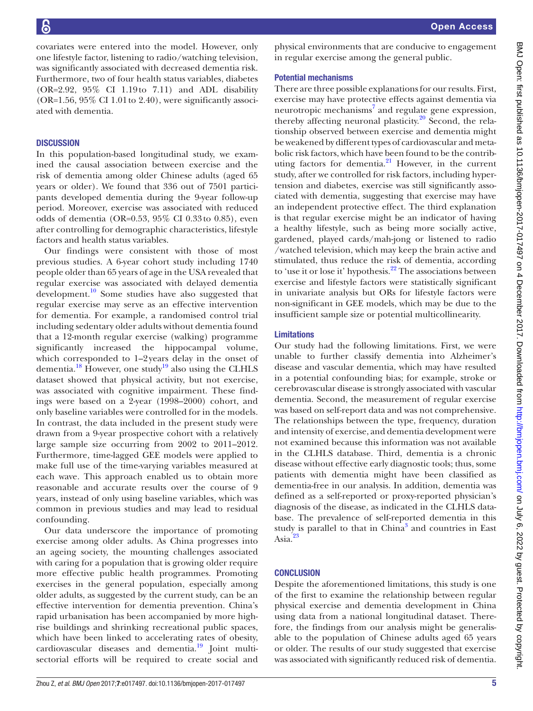covariates were entered into the model. However, only one lifestyle factor, listening to radio/watching television, was significantly associated with decreased dementia risk. Furthermore, two of four health status variables, diabetes (OR=2.92, 95% CI 1.19to 7.11) and ADL disability (OR=1.56,  $95\%$  CI 1.01 to 2.40), were significantly associated with dementia.

### **DISCUSSION**

In this population-based longitudinal study, we examined the causal association between exercise and the risk of dementia among older Chinese adults (aged 65 years or older). We found that 336 out of 7501 participants developed dementia during the 9-year follow-up period. Moreover, exercise was associated with reduced odds of dementia (OR=0.53, 95% CI 0.33to 0.85), even after controlling for demographic characteristics, lifestyle factors and health status variables.

Our findings were consistent with those of most previous studies. A 6-year cohort study including 1740 people older than 65 years of age in the USA revealed that regular exercise was associated with delayed dementia development.[10](#page-5-6) Some studies have also suggested that regular exercise may serve as an effective intervention for dementia. For example, a randomised control trial including sedentary older adults without dementia found that a 12-month regular exercise (walking) programme significantly increased the hippocampal volume, which corresponded to 1–2 years delay in the onset of dementia.<sup>18</sup> However, one study<sup>19</sup> also using the CLHLS dataset showed that physical activity, but not exercise, was associated with cognitive impairment. These findings were based on a 2-year (1998–2000) cohort, and only baseline variables were controlled for in the models. In contrast, the data included in the present study were drawn from a 9-year prospective cohort with a relatively large sample size occurring from 2002 to 2011–2012. Furthermore, time-lagged GEE models were applied to make full use of the time-varying variables measured at each wave. This approach enabled us to obtain more reasonable and accurate results over the course of 9 years, instead of only using baseline variables, which was common in previous studies and may lead to residual confounding.

Our data underscore the importance of promoting exercise among older adults. As China progresses into an ageing society, the mounting challenges associated with caring for a population that is growing older require more effective public health programmes. Promoting exercises in the general population, especially among older adults, as suggested by the current study, can be an effective intervention for dementia prevention. China's rapid urbanisation has been accompanied by more highrise buildings and shrinking recreational public spaces, which have been linked to accelerating rates of obesity, cardiovascular diseases and dementia.<sup>19</sup> Joint multisectorial efforts will be required to create social and

physical environments that are conducive to engagement in regular exercise among the general public.

## Potential mechanisms

There are three possible explanations for our results. First, exercise may have protective effects against dementia via neurotropic mechanisms<sup>7</sup> and regulate gene expression, thereby affecting neuronal plasticity.<sup>20</sup> Second, the relationship observed between exercise and dementia might be weakened by different types of cardiovascular and metabolic risk factors, which have been found to be the contributing factors for dementia. $^{21}$  $^{21}$  $^{21}$  However, in the current study, after we controlled for risk factors, including hypertension and diabetes, exercise was still significantly associated with dementia, suggesting that exercise may have an independent protective effect. The third explanation is that regular exercise might be an indicator of having a healthy lifestyle, such as being more socially active, gardened, played cards/mah-jong or listened to radio /watched television, which may keep the brain active and stimulated, thus reduce the risk of dementia, according to 'use it or lose it' hypothesis.<sup>[22](#page-5-16)</sup> The associations between exercise and lifestyle factors were statistically significant in univariate analysis but ORs for lifestyle factors were non-significant in GEE models, which may be due to the insufficient sample size or potential multicollinearity.

## Limitations

Our study had the following limitations. First, we were unable to further classify dementia into Alzheimer's disease and vascular dementia, which may have resulted in a potential confounding bias; for example, stroke or cerebrovascular disease is strongly associated with vascular dementia. Second, the measurement of regular exercise was based on self-report data and was not comprehensive. The relationships between the type, frequency, duration and intensity of exercise, and dementia development were not examined because this information was not available in the CLHLS database. Third, dementia is a chronic disease without effective early diagnostic tools; thus, some patients with dementia might have been classified as dementia-free in our analysis. In addition, dementia was defined as a self-reported or proxy-reported physician's diagnosis of the disease, as indicated in the CLHLS database. The prevalence of self-reported dementia in this study is parallel to that in China<sup>[3](#page-5-2)</sup> and countries in East Asia[.23](#page-5-17)

## **CONCLUSION**

Despite the aforementioned limitations, this study is one of the first to examine the relationship between regular physical exercise and dementia development in China using data from a national longitudinal dataset. Therefore, the findings from our analysis might be generalisable to the population of Chinese adults aged 65 years or older. The results of our study suggested that exercise was associated with significantly reduced risk of dementia.